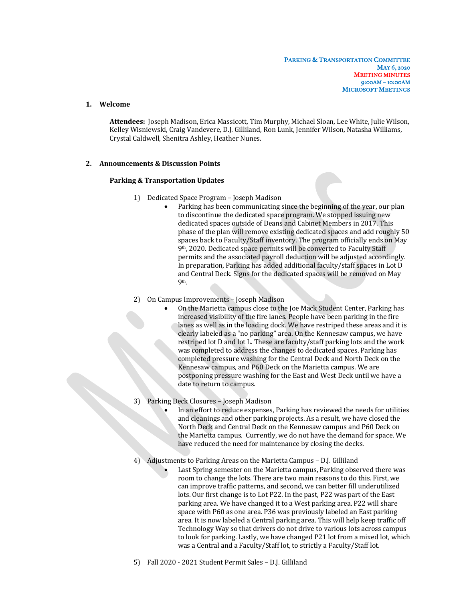## **1. Welcome**

Attendees: Joseph Madison, Erica Massicott, Tim Murphy, Michael Sloan, Lee White, Julie Wilson, Kelley Wisniewski, Craig Vandevere, D.J. Gilliland, Ron Lunk, Jennifer Wilson, Natasha Williams, Crystal Caldwell, Shenitra Ashley, Heather Nunes.

## **2. Announcements & Discussion Points**

## **Parking & Transportation Updates**

- 1) Dedicated Space Program Joseph Madison
	- Parking has been communicating since the beginning of the year, our plan to discontinue the dedicated space program. We stopped issuing new dedicated spaces outside of Deans and Cabinet Members in 2017. This phase of the plan will remove existing dedicated spaces and add roughly 50 spaces back to Faculty/Staff inventory. The program officially ends on May 9<sup>th</sup>, 2020. Dedicated space permits will be converted to Faculty Staff permits and the associated payroll deduction will be adjusted accordingly. In preparation, Parking has added additional faculty/staff spaces in Lot D and Central Deck. Signs for the dedicated spaces will be removed on May 9th.
- 2) On Campus Improvements Joseph Madison
	- On the Marietta campus close to the Joe Mack Student Center, Parking has increased visibility of the fire lanes. People have been parking in the fire lanes as well as in the loading dock. We have restriped these areas and it is clearly labeled as a "no parking" area. On the Kennesaw campus, we have restriped lot D and lot L. These are faculty/staff parking lots and the work was completed to address the changes to dedicated spaces. Parking has completed pressure washing for the Central Deck and North Deck on the Kennesaw campus, and P60 Deck on the Marietta campus. We are postponing pressure washing for the East and West Deck until we have a date to return to campus.
- 3) Parking Deck Closures Joseph Madison
	- In an effort to reduce expenses, Parking has reviewed the needs for utilities and cleanings and other parking projects. As a result, we have closed the North Deck and Central Deck on the Kennesaw campus and P60 Deck on the Marietta campus. Currently, we do not have the demand for space. We have reduced the need for maintenance by closing the decks.
- 4) Adjustments to Parking Areas on the Marietta Campus D.J. Gilliland
	- Last Spring semester on the Marietta campus, Parking observed there was room to change the lots. There are two main reasons to do this. First, we can improve traffic patterns, and second, we can better fill underutilized lots. Our first change is to Lot P22. In the past, P22 was part of the East parking area. We have changed it to a West parking area. P22 will share space with P60 as one area. P36 was previously labeled an East parking area. It is now labeled a Central parking area. This will help keep traffic off Technology Way so that drivers do not drive to various lots across campus to look for parking. Lastly, we have changed P21 lot from a mixed lot, which was a Central and a Faculty/Staff lot, to strictly a Faculty/Staff lot.
- 5) Fall 2020 2021 Student Permit Sales D.J. Gilliland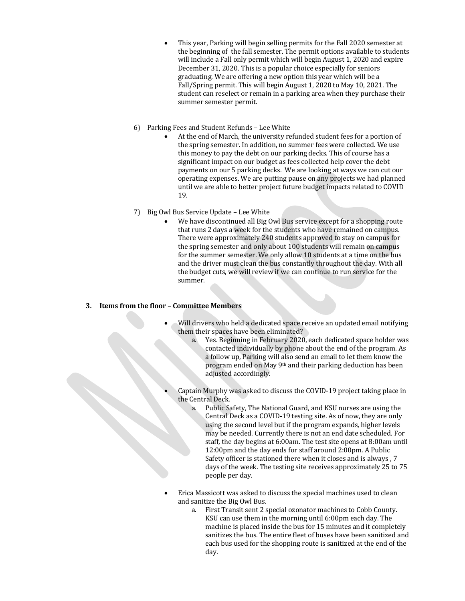- This year, Parking will begin selling permits for the Fall 2020 semester at the beginning of the fall semester. The permit options available to students will include a Fall only permit which will begin August 1, 2020 and expire December 31, 2020. This is a popular choice especially for seniors graduating. We are offering a new option this year which will be a Fall/Spring permit. This will begin August 1, 2020 to May 10, 2021. The student can reselect or remain in a parking area when they purchase their summer semester permit.
- 6) Parking Fees and Student Refunds Lee White
	- At the end of March, the university refunded student fees for a portion of the spring semester. In addition, no summer fees were collected. We use this money to pay the debt on our parking decks. This of course has a significant impact on our budget as fees collected help cover the debt payments on our 5 parking decks. We are looking at ways we can cut our operating expenses. We are putting pause on any projects we had planned until we are able to better project future budget impacts related to COVID 19.
- 7) Big Owl Bus Service Update Lee White
	- We have discontinued all Big Owl Bus service except for a shopping route that runs 2 days a week for the students who have remained on campus. There were approximately 240 students approved to stay on campus for the spring semester and only about 100 students will remain on campus for the summer semester. We only allow 10 students at a time on the bus and the driver must clean the bus constantly throughout the day. With all the budget cuts, we will review if we can continue to run service for the summer.

## **3.** Items from the floor – Committee Members

- Will drivers who held a dedicated space receive an updated email notifying them their spaces have been eliminated?
	- a. Yes. Beginning in February 2020, each dedicated space holder was contacted individually by phone about the end of the program. As a follow up, Parking will also send an email to let them know the program ended on May 9<sup>th</sup> and their parking deduction has been adjusted accordingly.
- Captain Murphy was asked to discuss the COVID-19 project taking place in the Central Deck.
	- a. Public Safety, The National Guard, and KSU nurses are using the Central Deck as a COVID-19 testing site. As of now, they are only using the second level but if the program expands, higher levels may be needed. Currently there is not an end date scheduled. For staff, the day begins at 6:00am. The test site opens at 8:00am until 12:00pm and the day ends for staff around 2:00pm. A Public Safety officer is stationed there when it closes and is always, 7 days of the week. The testing site receives approximately 25 to 75 people per day.
- Erica Massicott was asked to discuss the special machines used to clean and sanitize the Big Owl Bus.
	- a. First Transit sent 2 special ozonator machines to Cobb County. KSU can use them in the morning until 6:00pm each day. The machine is placed inside the bus for 15 minutes and it completely sanitizes the bus. The entire fleet of buses have been sanitized and each bus used for the shopping route is sanitized at the end of the day.